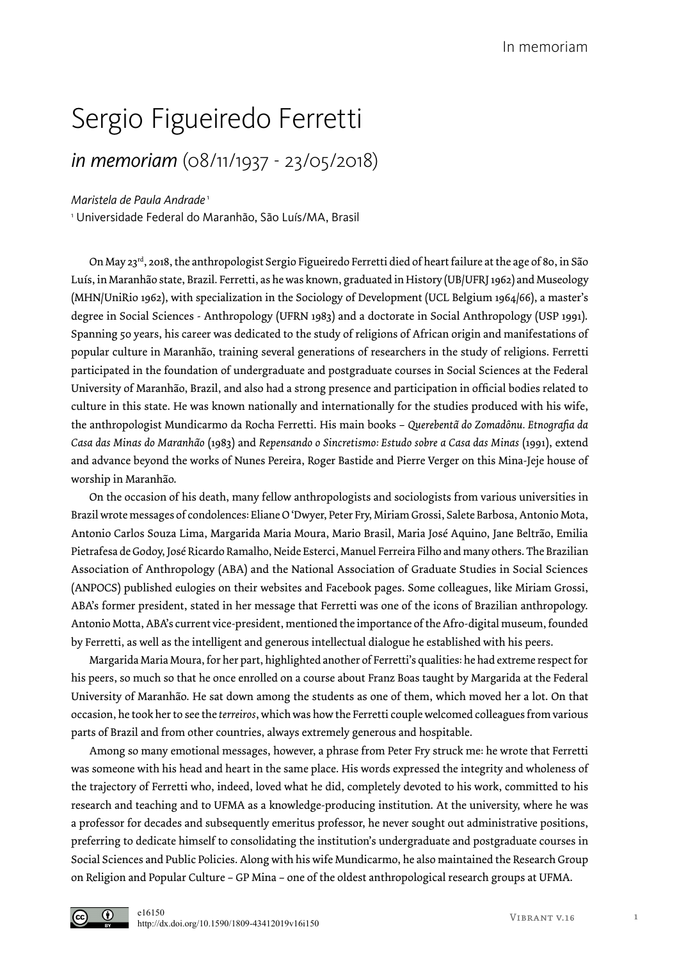## Sergio Figueiredo Ferretti

## *in memoriam* (08/11/1937 - 23/05/2018)

*Maristela de Paula Andrade*<sup>1</sup>

1 Universidade Federal do Maranhão, São Luís/MA, Brasil

On May 23rd, 2018, the anthropologist Sergio Figueiredo Ferretti died of heart failure at the age of 80, in São Luís, in Maranhão state, Brazil. Ferretti, as he was known, graduated in History (UB/UFRJ 1962) and Museology (MHN/UniRio 1962), with specialization in the Sociology of Development (UCL Belgium 1964/66), a master's degree in Social Sciences - Anthropology (UFRN 1983) and a doctorate in Social Anthropology (USP 1991). Spanning 50 years, his career was dedicated to the study of religions of African origin and manifestations of popular culture in Maranhão, training several generations of researchers in the study of religions. Ferretti participated in the foundation of undergraduate and postgraduate courses in Social Sciences at the Federal University of Maranhão, Brazil, and also had a strong presence and participation in official bodies related to culture in this state. He was known nationally and internationally for the studies produced with his wife, the anthropologist Mundicarmo da Rocha Ferretti. His main books – *Querebentã do Zomadônu. Etnografia da Casa das Minas do Maranhão* (1983) and *Repensando o Sincretismo: Estudo sobre a Casa das Minas* (1991), extend and advance beyond the works of Nunes Pereira, Roger Bastide and Pierre Verger on this Mina-Jeje house of worship in Maranhão.

On the occasion of his death, many fellow anthropologists and sociologists from various universities in Brazil wrote messages of condolences: Eliane O 'Dwyer, Peter Fry, Miriam Grossi, Salete Barbosa, Antonio Mota, Antonio Carlos Souza Lima, Margarida Maria Moura, Mario Brasil, Maria José Aquino, Jane Beltrão, Emilia Pietrafesa de Godoy, José Ricardo Ramalho, Neide Esterci, Manuel Ferreira Filho and many others. The Brazilian Association of Anthropology (ABA) and the National Association of Graduate Studies in Social Sciences (ANPOCS) published eulogies on their websites and Facebook pages. Some colleagues, like Miriam Grossi, ABA's former president, stated in her message that Ferretti was one of the icons of Brazilian anthropology. Antonio Motta, ABA's current vice-president, mentioned the importance of the Afro-digital museum, founded by Ferretti, as well as the intelligent and generous intellectual dialogue he established with his peers.

Margarida Maria Moura, for her part, highlighted another of Ferretti's qualities: he had extreme respect for his peers, so much so that he once enrolled on a course about Franz Boas taught by Margarida at the Federal University of Maranhão. He sat down among the students as one of them, which moved her a lot. On that occasion, he took her to see the *terreiros*, which was how the Ferretti couple welcomed colleagues from various parts of Brazil and from other countries, always extremely generous and hospitable.

Among so many emotional messages, however, a phrase from Peter Fry struck me: he wrote that Ferretti was someone with his head and heart in the same place. His words expressed the integrity and wholeness of the trajectory of Ferretti who, indeed, loved what he did, completely devoted to his work, committed to his research and teaching and to UFMA as a knowledge-producing institution. At the university, where he was a professor for decades and subsequently emeritus professor, he never sought out administrative positions, preferring to dedicate himself to consolidating the institution's undergraduate and postgraduate courses in Social Sciences and Public Policies. Along with his wife Mundicarmo, he also maintained the Research Group on Religion and Popular Culture – GP Mina – one of the oldest anthropological research groups at UFMA.



e16150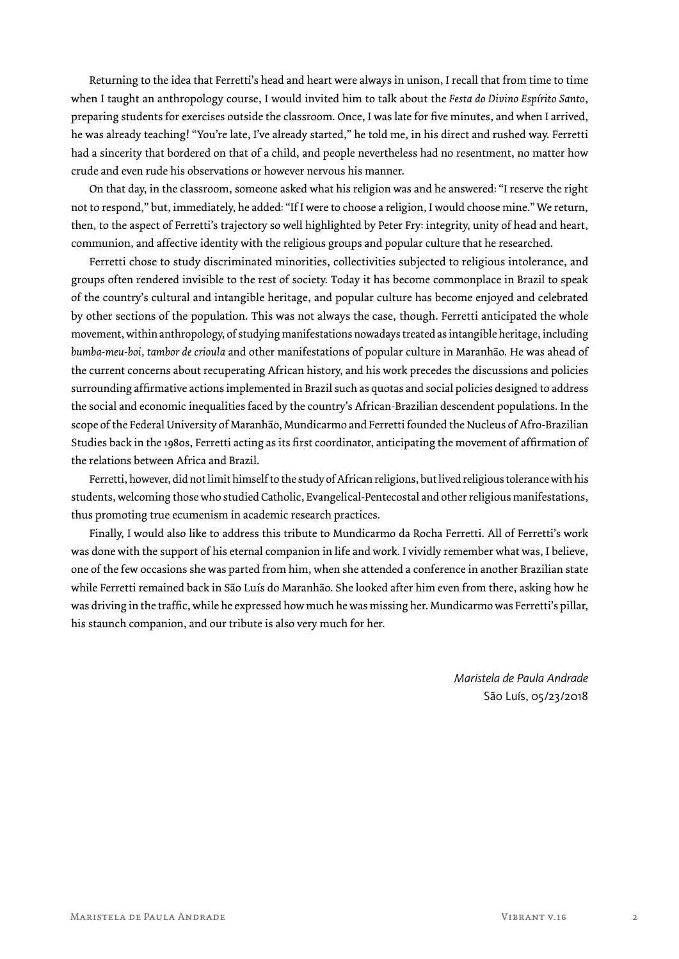Returning to the idea that Ferretti's head and heart were always in unison, I recall that from time to time when I taught an anthropology course, I would invited him to talk about the *Festa do Divino Espírito Santo*, preparing students for exercises outside the classroom. Once, I was late for five minutes, and when I arrived, he was already teaching! "You're late, I've already started," he told me, in his direct and rushed way. Ferretti had a sincerity that bordered on that of a child, and people nevertheless had no resentment, no matter how crude and even rude his observations or however nervous his manner.

On that day, in the classroom, someone asked what his religion was and he answered: "I reserve the right not to respond," but, immediately, he added: "If I were to choose a religion, I would choose mine." We return, then, to the aspect of Ferretti's trajectory so well highlighted by Peter Fry: integrity, unity of head and heart, communion, and affective identity with the religious groups and popular culture that he researched.

Ferretti chose to study discriminated minorities, collectivities subjected to religious intolerance, and groups often rendered invisible to the rest of society. Today it has become commonplace in Brazil to speak of the country's cultural and intangible heritage, and popular culture has become enjoyed and celebrated by other sections of the population. This was not always the case, though. Ferretti anticipated the whole movement, within anthropology, of studying manifestations nowadays treated as intangible heritage, including *bumba-meu-boi, tambor de crioula* and other manifestations of popular culture in Maranhão. He was ahead of the current concerns about recuperating African history, and his work precedes the discussions and policies surrounding affirmative actions implemented in Brazil such as quotas and social policies designed to address the social and economic inequalities faced by the country's African-Brazilian descendent populations. In the scope of the Federal University of Maranhão, Mundicarmo and Ferretti founded the Nucleus of Afro-Brazilian Studies back in the 1980s, Ferretti acting as its first coordinator, anticipating the movement of affirmation of the relations between Africa and Brazil.

Ferretti, however, did not limit himself to the study of African religions, but lived religious tolerance with his students, welcoming those who studied Catholic, Evangelical-Pentecostal and other religious manifestations, thus promoting true ecumenism in academic research practices.

Finally, I would also like to address this tribute to Mundicarmo da Rocha Ferretti. All of Ferretti's work was done with the support of his eternal companion in life and work. I vividly remember what was, I believe, one of the few occasions she was parted from him, when she attended a conference in another Brazilian state while Ferretti remained back in São Luís do Maranhão. She looked after him even from there, asking how he was driving in the traffic, while he expressed how much he was missing her. Mundicarmo was Ferretti's pillar, his staunch companion, and our tribute is also very much for her.

> *Maristela de Paula Andrade* São Luís, 05/23/2018